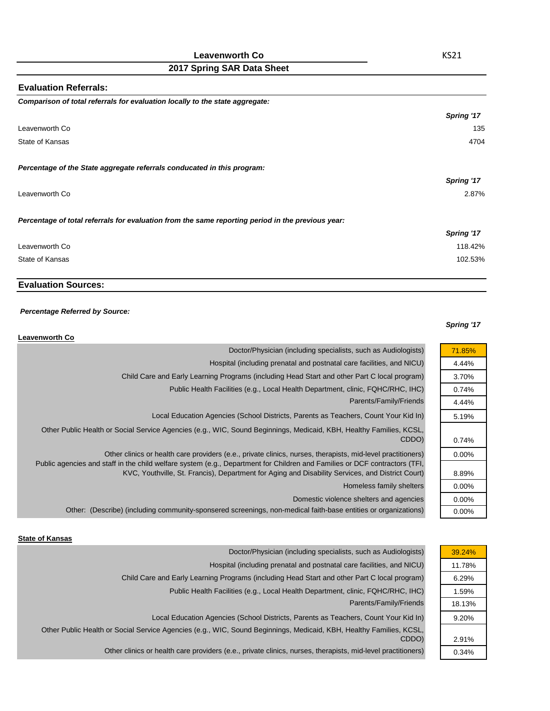### **Leavenworth Co**

# **2017 Spring SAR Data Sheet**

| Spring '17 |
|------------|
| 135        |
| 4704       |
|            |
| Spring '17 |
| 2.87%      |
|            |
| Spring '17 |
| 118.42%    |
| 102.53%    |
|            |

## **Evaluation Sources:**

#### *Percentage Referred by Source:*

#### *Spring '17*

71.85% 4.44% 3.70% 0.74% 4.44% 5.19%

0.74% 0.00%

8.89% 0.00% 0.00% 0.00%

| <b>Leavenworth Co</b>                                                                                                                                                                                                                                                                                                                         |
|-----------------------------------------------------------------------------------------------------------------------------------------------------------------------------------------------------------------------------------------------------------------------------------------------------------------------------------------------|
| Doctor/Physician (including specialists, such as Audiologists)                                                                                                                                                                                                                                                                                |
| Hospital (including prenatal and postnatal care facilities, and NICU)                                                                                                                                                                                                                                                                         |
| Child Care and Early Learning Programs (including Head Start and other Part C local program)                                                                                                                                                                                                                                                  |
| Public Health Facilities (e.g., Local Health Department, clinic, FQHC/RHC, IHC)                                                                                                                                                                                                                                                               |
| Parents/Family/Friends                                                                                                                                                                                                                                                                                                                        |
| Local Education Agencies (School Districts, Parents as Teachers, Count Your Kid In)                                                                                                                                                                                                                                                           |
| Other Public Health or Social Service Agencies (e.g., WIC, Sound Beginnings, Medicaid, KBH, Healthy Families, KCSL,<br>CDDO)                                                                                                                                                                                                                  |
| Other clinics or health care providers (e.e., private clinics, nurses, therapists, mid-level practitioners)<br>Public agencies and staff in the child welfare system (e.g., Department for Children and Families or DCF contractors (TFI,<br>KVC, Youthville, St. Francis), Department for Aging and Disability Services, and District Court) |
| Homeless family shelters                                                                                                                                                                                                                                                                                                                      |
| Domestic violence shelters and agencies                                                                                                                                                                                                                                                                                                       |
| Other: (Describe) (including community-sponsered screenings, non-medical faith-base entities or organizations)                                                                                                                                                                                                                                |

#### **State of Kansas**

| Doctor/Physician (including specialists, such as Audiologists)                                                      | 39.24% |
|---------------------------------------------------------------------------------------------------------------------|--------|
| Hospital (including prenatal and postnatal care facilities, and NICU)                                               | 11.78% |
| Child Care and Early Learning Programs (including Head Start and other Part C local program)                        | 6.29%  |
| Public Health Facilities (e.g., Local Health Department, clinic, FQHC/RHC, IHC)                                     | 1.59%  |
| Parents/Family/Friends                                                                                              | 18.13% |
| Local Education Agencies (School Districts, Parents as Teachers, Count Your Kid In)                                 | 9.20%  |
| Other Public Health or Social Service Agencies (e.g., WIC, Sound Beginnings, Medicaid, KBH, Healthy Families, KCSL, |        |
| CDDO)                                                                                                               | 2.91%  |
| Other clinics or health care providers (e.e., private clinics, nurses, therapists, mid-level practitioners)         | 0.34%  |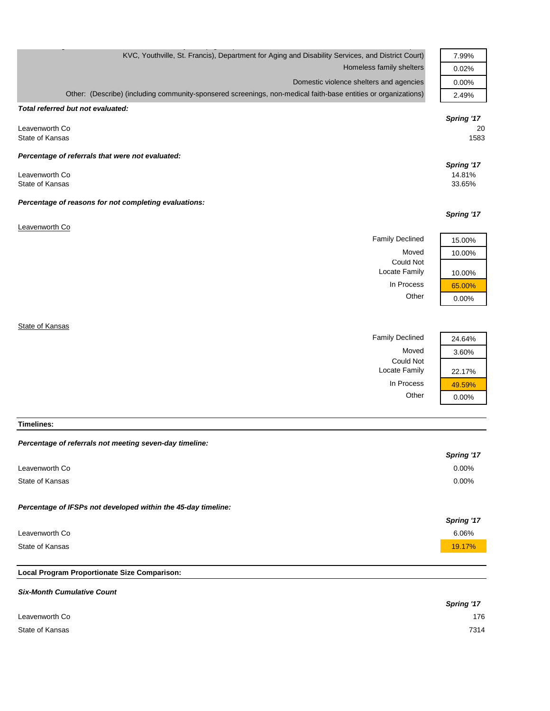| KVC, Youthville, St. Francis), Department for Aging and Disability Services, and District Court)               | 7.99%                          |
|----------------------------------------------------------------------------------------------------------------|--------------------------------|
| Homeless family shelters                                                                                       | 0.02%                          |
| Domestic violence shelters and agencies                                                                        | 0.00%                          |
| Other: (Describe) (including community-sponsered screenings, non-medical faith-base entities or organizations) | 2.49%                          |
| Total referred but not evaluated:                                                                              |                                |
| Leavenworth Co<br>State of Kansas                                                                              | Spring '17<br>20<br>1583       |
| Percentage of referrals that were not evaluated:                                                               |                                |
| Leavenworth Co<br>State of Kansas                                                                              | Spring '17<br>14.81%<br>33.65% |
| Percentage of reasons for not completing evaluations:                                                          |                                |
|                                                                                                                | Spring '17                     |
| Leavenworth Co                                                                                                 |                                |
| <b>Family Declined</b>                                                                                         | 15.00%                         |
| Moved                                                                                                          | 10.00%                         |
| <b>Could Not</b><br>Locate Family                                                                              | 10.00%                         |
| In Process                                                                                                     | 65.00%                         |
| Other                                                                                                          | 0.00%                          |
|                                                                                                                |                                |

**State of Kansas** 

| <b>Family Declined</b> |  |
|------------------------|--|
| Moved                  |  |
| Could Not              |  |
| Locate Family          |  |
| In Process             |  |
| ∩ther                  |  |



**Timelines:**

|                                                               | Spring '17 |
|---------------------------------------------------------------|------------|
| Leavenworth Co                                                | $0.00\%$   |
| State of Kansas                                               | $0.00\%$   |
| Percentage of IFSPs not developed within the 45-day timeline: | Spring '17 |
| Leavenworth Co                                                | 6.06%      |
| State of Kansas                                               | 19.17%     |
|                                                               |            |

# **Local Program Proportionate Size Comparison:**

| <b>Six-Month Cumulative Count</b> |            |
|-----------------------------------|------------|
|                                   | Spring '17 |
| Leavenworth Co                    | 176        |
| State of Kansas                   | 7314       |